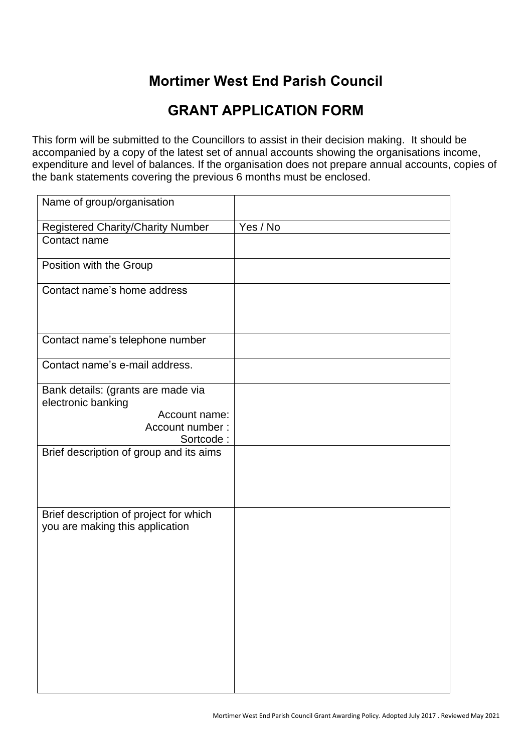## **Mortimer West End Parish Council**

## **GRANT APPLICATION FORM**

This form will be submitted to the Councillors to assist in their decision making. It should be accompanied by a copy of the latest set of annual accounts showing the organisations income, expenditure and level of balances. If the organisation does not prepare annual accounts, copies of the bank statements covering the previous 6 months must be enclosed.

| Name of group/organisation                                                                                |          |
|-----------------------------------------------------------------------------------------------------------|----------|
| <b>Registered Charity/Charity Number</b>                                                                  | Yes / No |
| Contact name                                                                                              |          |
| Position with the Group                                                                                   |          |
| Contact name's home address                                                                               |          |
| Contact name's telephone number                                                                           |          |
| Contact name's e-mail address.                                                                            |          |
| Bank details: (grants are made via<br>electronic banking<br>Account name:<br>Account number:<br>Sortcode: |          |
| Brief description of group and its aims                                                                   |          |
| Brief description of project for which<br>you are making this application                                 |          |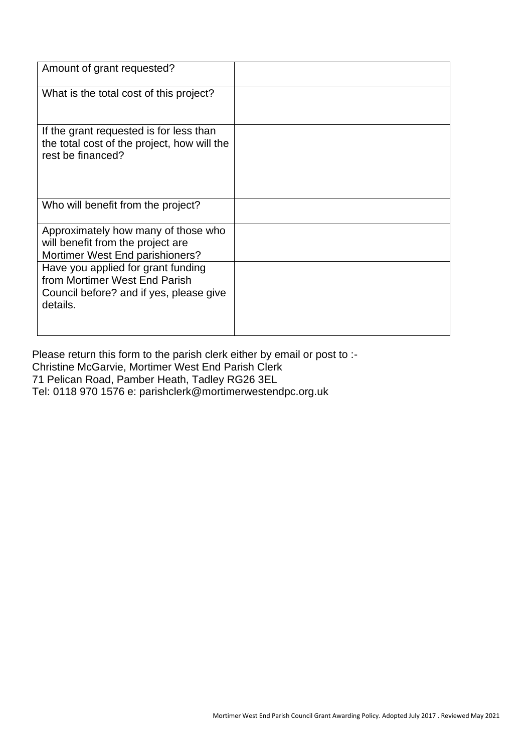| Amount of grant requested?                                                                                                 |  |
|----------------------------------------------------------------------------------------------------------------------------|--|
| What is the total cost of this project?                                                                                    |  |
| If the grant requested is for less than<br>the total cost of the project, how will the<br>rest be financed?                |  |
| Who will benefit from the project?                                                                                         |  |
| Approximately how many of those who<br>will benefit from the project are<br>Mortimer West End parishioners?                |  |
| Have you applied for grant funding<br>from Mortimer West End Parish<br>Council before? and if yes, please give<br>details. |  |

Please return this form to the parish clerk either by email or post to :-Christine McGarvie, Mortimer West End Parish Clerk 71 Pelican Road, Pamber Heath, Tadley RG26 3EL Tel: 0118 970 1576 e: parishclerk@mortimerwestendpc.org.uk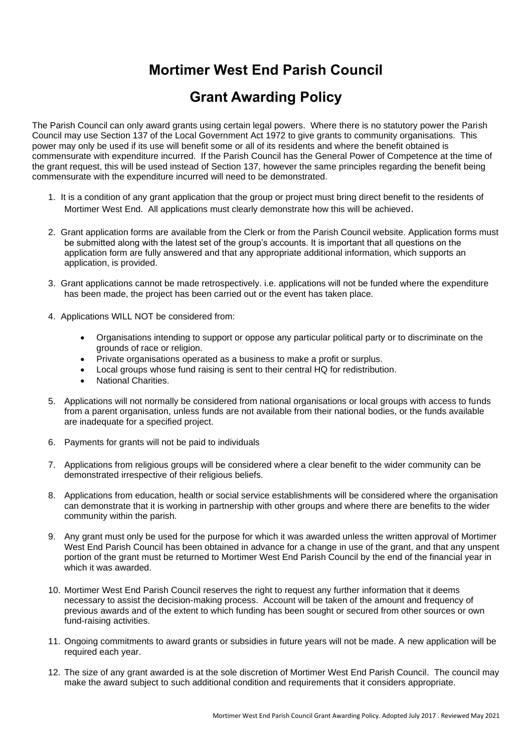## **Mortimer West End Parish Council**

## **Grant Awarding Policy**

The Parish Council can only award grants using certain legal powers. Where there is no statutory power the Parish Council may use Section 137 of the Local Government Act 1972 to give grants to community organisations. This power may only be used if its use will benefit some or all of its residents and where the benefit obtained is commensurate with expenditure incurred. If the Parish Council has the General Power of Competence at the time of the grant request, this will be used instead of Section 137, however the same principles regarding the benefit being commensurate with the expenditure incurred will need to be demonstrated.

- 1. It is a condition of any grant application that the group or project must bring direct benefit to the residents of Mortimer West End. All applications must clearly demonstrate how this will be achieved.
- 2. Grant application forms are available from the Clerk or from the Parish Council website. Application forms must be submitted along with the latest set of the group's accounts. It is important that all questions on the application form are fully answered and that any appropriate additional information, which supports an application, is provided.
- 3. Grant applications cannot be made retrospectively. i.e. applications will not be funded where the expenditure has been made, the project has been carried out or the event has taken place.
- 4. Applications WILL NOT be considered from:
	- Organisations intending to support or oppose any particular political party or to discriminate on the grounds of race or religion.
	- Private organisations operated as a business to make a profit or surplus.
	- Local groups whose fund raising is sent to their central HQ for redistribution.
	- National Charities.
- 5. Applications will not normally be considered from national organisations or local groups with access to funds from a parent organisation, unless funds are not available from their national bodies, or the funds available are inadequate for a specified project.
- 6. Payments for grants will not be paid to individuals
- 7. Applications from religious groups will be considered where a clear benefit to the wider community can be demonstrated irrespective of their religious beliefs.
- 8. Applications from education, health or social service establishments will be considered where the organisation can demonstrate that it is working in partnership with other groups and where there are benefits to the wider community within the parish.
- 9. Any grant must only be used for the purpose for which it was awarded unless the written approval of Mortimer West End Parish Council has been obtained in advance for a change in use of the grant, and that any unspent portion of the grant must be returned to Mortimer West End Parish Council by the end of the financial year in which it was awarded.
- 10. Mortimer West End Parish Council reserves the right to request any further information that it deems necessary to assist the decision-making process. Account will be taken of the amount and frequency of previous awards and of the extent to which funding has been sought or secured from other sources or own fund-raising activities.
- 11. Ongoing commitments to award grants or subsidies in future years will not be made. A new application will be required each year.
- 12. The size of any grant awarded is at the sole discretion of Mortimer West End Parish Council. The council may make the award subject to such additional condition and requirements that it considers appropriate.